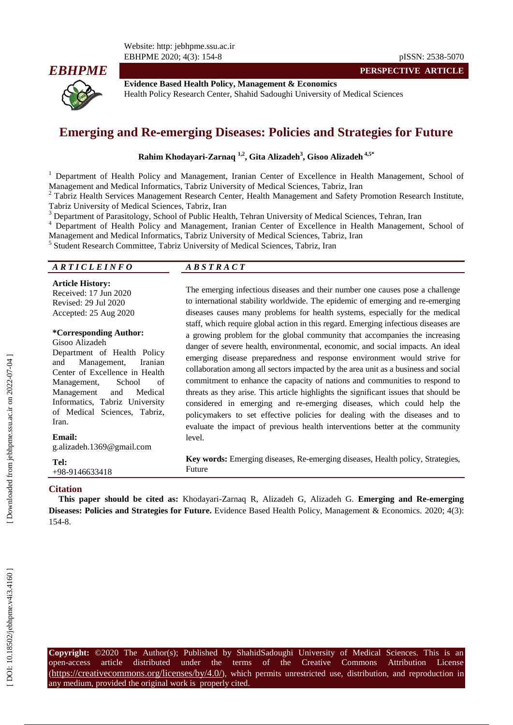Website: http: jebhpme.ssu.ac.ir EBHPME 2020; 4( 3): 154 -



**PERSPECTIVE ARTICLE**



**Evidence Based Health Policy, Management & Economics** Health Policy Research Center, Shahid Sadoughi University of Medical Sciences

# **Emerging and Re** ‐**emerging Diseases: Policies and Strategies for Future**

**Rahim Khodayari -Zarnaq 1,2, Gita Alizadeh 3 , Gisoo Alizadeh 4,5 \***

<sup>1</sup> Department of Health Policy and Management, Iranian Center of Excellence in Health Management, School of Management and Medical Informatics, Tabriz University of Medical Sciences, Tabriz, Iran

 $2$  Tabriz Health Services Management Research Center, Health Management and Safety Promotion Research Institute, Tabriz University of Medical Sciences, Tabriz, Iran<br><sup>3</sup> Department of Parasitology, School of Public Health, Tehran University of Medical Sciences, Tehran, Iran<br><sup>4</sup> Department of Health Policy and Management, Iranian Cente

Management and Medical Informatics, Tabriz University of Medical Sciences, Tabriz, Iran

5 Student Research Committee, Tabriz University of Medical Sciences, Tabriz, Iran

#### *A R T I C L E I N F O A B S T R A C T*

**Article History:** Received: 1 7 Jun 2020 Revised: 29 Jul 2020 Accepted: 25 Aug 2020

## **\*Corresponding Author:**

Gisoo Alizadeh Department of Health Policy and Management, Iranian Center of Excellence in Health Management, School of Management and Medical Informatics, Tabriz University of Medical Sciences, Tabriz, Iran .

#### **Email:**

g.alizadeh.1369@gmail.com

**Tel:** +98 -9146633418

The emerging infectious diseases and their number one causes pose a challenge to international stability worldwide. The epidemic of emerging and re -emerging diseases causes many problems for health systems, especially for the medical staff, which require global action in this regard. Emerging infectious diseases are a growing problem for the global community that accompanies the increasing danger of severe health, environmental, economic, and social impacts. An ideal emerging disease preparedness and response environment would strive for collaboration among all sectors impacted by the area unit as a business and social commitment to enhance the capacity of nations and communities to respond to threats as they arise. This article highlights the significant issues that should be considered in emerging and re ‐emerging diseases, which could help the policymakers to set effective policies for dealing with the diseases and to evaluate the impact of previous health interventions better at the community level.

**Key words:** Emerging diseases, Re -emerging diseases, Health policy, Strategies, Future

#### **Citation**

**This paper should be cited as:** Khodayari -Zarnaq R, Alizadeh G, Alizadeh G . **Emerging and Re -emerging Diseases: Policies and Strategies for Future.** Evidence Based Health Policy, Management & Economics. 2020; 4(3): 154 - 8 .

**Copyright:** ©2020 The Author(s); Published by ShahidSadoughi University of Medical Sciences. This is an open-access -access article distributed under the terms of the Creative Commons Attribution License (https://creativecommons.org/licenses/by/4.0/), which permits unrestricted use, distribution, and reproduction in any medium, provided the original work is properly cited.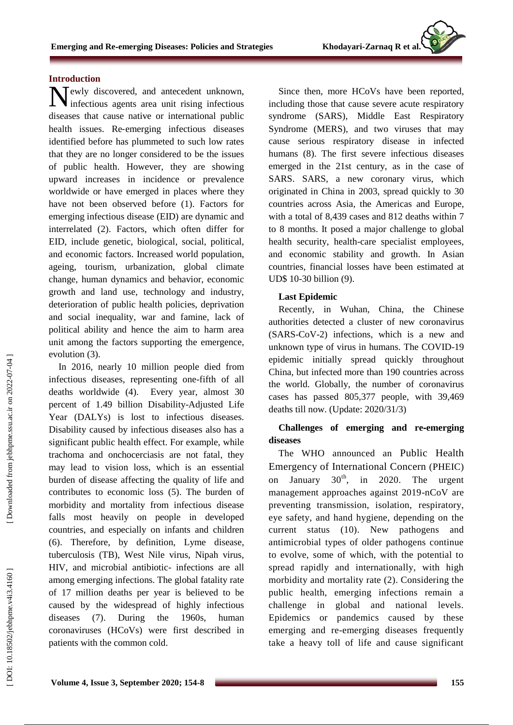## **Introduction**

Newly discovered, and antecedent unknown, infectious agents area unit rising infectious infectious agents area unit rising infectious diseases that cause native or international public health issues. Re ‐emerging infectious diseases identified before has plummeted to such low rates that they are no longer considered to be the issues of public health. However, they are showing upward increases in incidence or prevalence worldwide or have emerged in places where they have not been observed before (1). Factors for emerging infectious disease (EID) are dynamic and interrelated (2). Factors, which often differ for EID, include genetic, biological, social, political, and economic factors. Increased world population, ageing, tourism, urbanization, global climate change, human dynamics and behavior, economic growth and land use, technology and industry, deterioration of public health policies, deprivation and social inequality, war and famine, lack of political ability and hence the aim to harm area unit among the factors supporting the emergence, evolution (3) .

In 2016, nearly 10 million people died from infectious diseases, representing one -fifth of all deaths worldwide (4). Every year, almost 30 percent of 1.49 billion Disability -Adjusted Life Year (DALYs) is lost to infectious diseases. Disability caused by infectious diseases also has a significant public health effect. For example, while trachoma and onchocerciasis are not fatal, they may lead to vision loss, which is an essential burden of disease affecting the quality of life and contributes to economic loss (5). The burden of morbidity and mortality from infectious disease falls most heavily on people in developed countries, and especially on infants and children (6). Therefore, by definition, Lyme disease, tuberculosis (TB), West Nile virus, Nipah virus, HIV, and microbial antibiotic - infections are all among emerging infections. The global fatality rate of 17 million deaths per year is believed to be caused by the widespread of highly infectious diseases (7). During the 1960s, human coronaviruses (HCoVs) were first described in patients with the common cold.

Since then, more HCoVs have been reported, including those that cause severe acute respiratory syndrome (SARS), Middle East Respiratory Syndrome (MERS), and two viruses that may cause serious respiratory disease in infected humans (8). The first severe infectious diseases emerged in the 21st century, as in the case of SARS. SARS, a new coronary virus, which originated in China in 2003, spread quickly to 30 countries across Asia, the Americas and Europe, with a total of 8,439 cases and 812 deaths within 7 to 8 months. It posed a major challenge to global health security, health -care specialist employees, and economic stability and growth. In Asian countries, financial losses have been estimated at UD\$ 10 -30 billion (9) .

### **Last Epidemic**

Recently, in Wuhan, China, the Chinese authorities detected a cluster of new coronavirus (SARS -CoV -2) infections, which is a new and unknown type of virus in humans. The COVID -19 epidemic initially spread quickly throughout China, but infected more than 190 countries across the world. Globally, the number of coronavirus cases has passed 805,377 people, with 39,469 deaths till now. (Update: 2020/31/3)

## **Challenges of emerging and re** ‐**emerging diseases**

The WHO announced an Public Health Emergency of International Concern (PHEIC) on January  $30<sup>th</sup>$ , in 2020. The urgent management approaches against 2019 -nCoV are preventing transmission, isolation, respiratory, eye safety, and hand hygiene, depending on the current status (10). New pathogens and antimicrobial types of older pathogens continue to evolve, some of which, with the potential to spread rapidly and internationally, with high morbidity and mortality rate (2). Considering the public health, emerging infections remain a challenge in global and national levels. Epidemics or pandemics caused by these emerging and re -emerging diseases frequently take a heavy toll of life and cause significant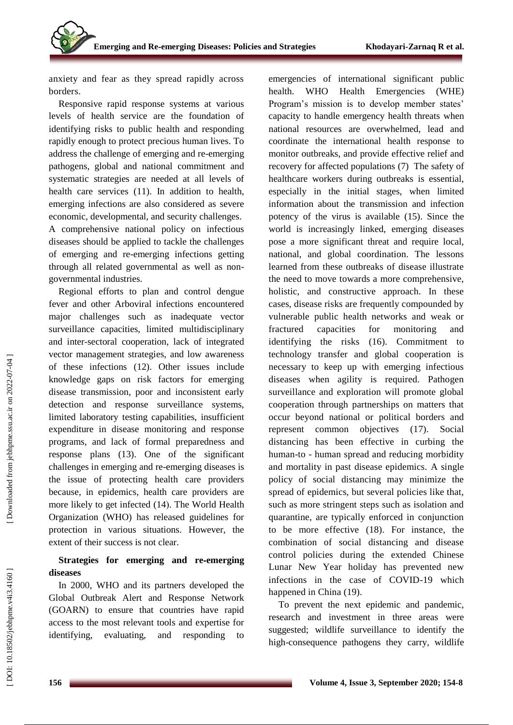anxiety and fear as they spread rapidly across borders.

Responsive rapid response systems at various levels of health service are the foundation of identifying risks to public health and responding rapidly enough to protect precious human lives. To address the challenge of emerging and re -emerging pathogens, global and national commitment and systematic strategies are needed at all levels of health care services (11) . In addition to health, emerging infections are also considered as severe economic, developmental, and security challenges . A comprehensive national policy on infectious diseases should be applied to tackle the challenges of emerging and re -emerging infections getting through all related governmental as well as non governmental industries.

Regional efforts to plan and control dengue fever and other Arboviral infections encountered major challenges such as inadequate vector surveillance capacities, limited multidisciplinary and inter -sectoral cooperation, lack of integrated vector management strategies, and low awareness of these infections (12). Other issues include knowledge gaps on risk factors for emerging disease transmission, poor and inconsistent early detection and response surveillance systems, limited laboratory testing capabilities, insufficient expenditure in disease monitoring and response programs, and lack of formal preparedness and response plans (13) . One of the significant challenges in emerging and re -emerging diseases is the issue of protecting health care providers because, in epidemics, health care providers are more likely to get infected (14). The World Health Organization (WHO) has released guidelines for protection in various situations. However, the extent of their success is not clear.

## **Strategies for emerging and re** ‐**emerging diseases**

In 2000, WHO and its partners developed the Global Outbreak Alert and Response Network (GOARN) to ensure that countries have rapid access to the most relevant tools and expertise for identifying, evaluating, and responding

emergencies of international significant public health. WHO Health Emergencies (WHE) Program's mission is to develop member states' capacity to handle emergency health threats when national resources are overwhelmed, lead and coordinate the international health response to monitor outbreaks, and provide effective relief and recovery for affected populations (7) The safety of healthcare workers during outbreaks is essential, especially in the initial stages, when limited information about the transmission and infection potency of the virus is available (15). Since the world is increasingly linked, emerging diseases pose a more significant threat and require local, national, and global coordination. The lessons learned from these outbreaks of disease illustrate the need to move towards a more comprehensive, holistic, and constructive approach. In these cases, disease risks are frequently compounded by vulnerable public health networks and weak or fractured capacities for monitoring and identifying the risks (16) . Commitment to technology transfer and global cooperation is necessary to keep up with emerging infectious diseases when agility is required. Pathogen surveillance and exploration will promote global cooperation through partnerships on matters that occur beyond national or political borders and represent common objectives (17). . Social distancing has been effective in curbing the human -to - human spread and reducing morbidity and mortality in past disease epidemics. A single policy of social distancing may minimize the spread of epidemics, but several policies like that, such as more stringent steps such as isolation and quarantine, are typically enforced in conjunction to be more effective (18). For instance, the combination of social distancing and disease control policies during the extended Chinese Lunar New Year holiday has prevented new infections in the case of COVID -19 which happened in China (19).

To prevent the next epidemic and pandemic, research and investment in three areas were suggested; wildlife surveillance to identify the high -consequence pathogens they carry, wildlife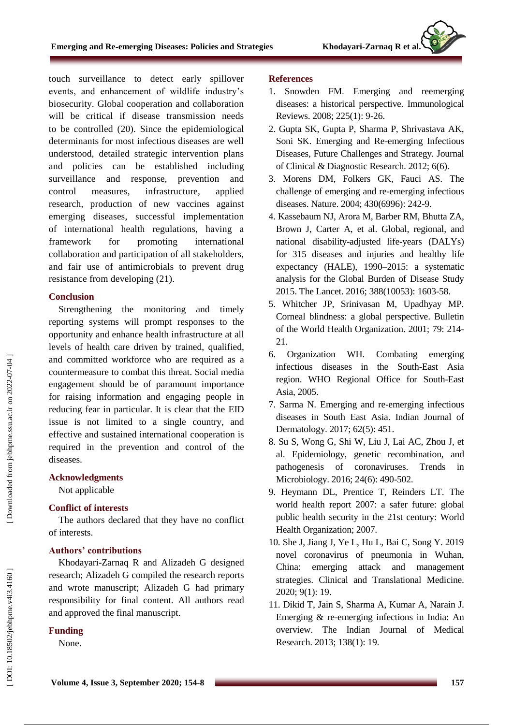touch surveillance to detect early spillover events, and enhancement of wildlife industry's biosecurity. Global cooperation and collaboration will be critical if disease transmission needs to be controlled (20 ). Since the epidemiological determinants for most infectious diseases are well understood, detailed strategic intervention plans and policies can be established including surveillance and response, prevention and control measures, infrastructure, applied research, production of new vaccines against emerging diseases, successful implementation of international health regulations, having a framework for promoting international collaboration and participation of all stakeholders, and fair use of antimicrobials to prevent drug resistance from developing (21 ) .

## **Conclusion**

Strengthening the monitoring and timely reporting systems will prompt responses to the opportunity and enhance health infrastructure at all levels of health care driven by trained, qualified, and committed workforce who are required as a countermeasure to combat this threat. Social media engagement should be of paramount importance for raising information and engaging people in reducing fear in particular. It is clear that the EID issue is not limited to a single country, and effective and sustained international cooperation is required in the prevention and control of the diseases.

## **Acknowledgments**

Not applicable

## **Conflict of interests**

The authors declared that they have no conflict of interests.

## **Authors' contributions**

Khodayari -Zarnaq R and Alizadeh G designed research; Alizadeh G compiled the research reports and wrote manuscript; Alizadeh G had primary responsibility for final content. All authors read and approved the final manuscript.

## **Funding**

None .

## **References**

- 1. Snowden FM. Emerging and reemerging diseases: a historical perspective. Immunological Reviews. 2008; 225(1): 9 -26.
- 2. Gupta SK, Gupta P, Sharma P, Shrivastava AK, Soni SK. Emerging and Re -emerging Infectious Diseases, Future Challenges and Strategy. Journal of Clinical & Diagnostic Research. 2012; 6(6).
- 3. Morens DM, Folkers GK, Fauci AS. The challenge of emerging and re -emerging infectious diseases. Nature. 2004; 430(6996): 242 -9.
- 4. Kassebaum NJ, Arora M, Barber RM, Bhutta ZA, Brown J, Carter A, et al. Global, regional, and national disability -adjusted life -years (DALYs) for 315 diseases and injuries and healthy life expectancy (HALE), 1990 –2015: a systematic analysis for the Global Burden of Disease Study 2015. The Lancet. 2016; 388(10053): 1603 -58.
- 5. Whitcher JP, Srinivasan M, Upadhyay MP. Corneal blindness: a global perspective. Bulletin of the World Health Organization. 2001; 79: 214 - 21.
- 6. Organization WH. Combating emerging infectious diseases in the South -East Asia region. WHO Regional Office for South -East Asia, 2005.
- 7. Sarma N. Emerging and re -emerging infectious diseases in South East Asia. Indian Journal of Dermatology. 2017; 62(5): 451.
- 8. Su S, Wong G, Shi W, Liu J, Lai AC, Zhou J, et al. Epidemiology, genetic recombination, and pathogenesis of coronaviruses. Trends in Microbiology. 2016; 24(6): 490 -502.
- 9. Heymann DL, Prentice T, Reinders LT. The world health report 2007: a safer future: global public health security in the 21st century: World Health Organization; 2007.
- 10. She J, Jiang J, Ye L, Hu L, Bai C, Song Y. 2019 novel coronavirus of pneumonia in Wuhan, China: emerging attack and management strategies. Clinical and Translational Medicine. 2020; 9(1): 19.
- 11. Dikid T, Jain S, Sharma A, Kumar A, Narain J. Emerging & re -emerging infections in India: An overview. The Indian Journal of Medical Research. 2013; 138(1): 19.